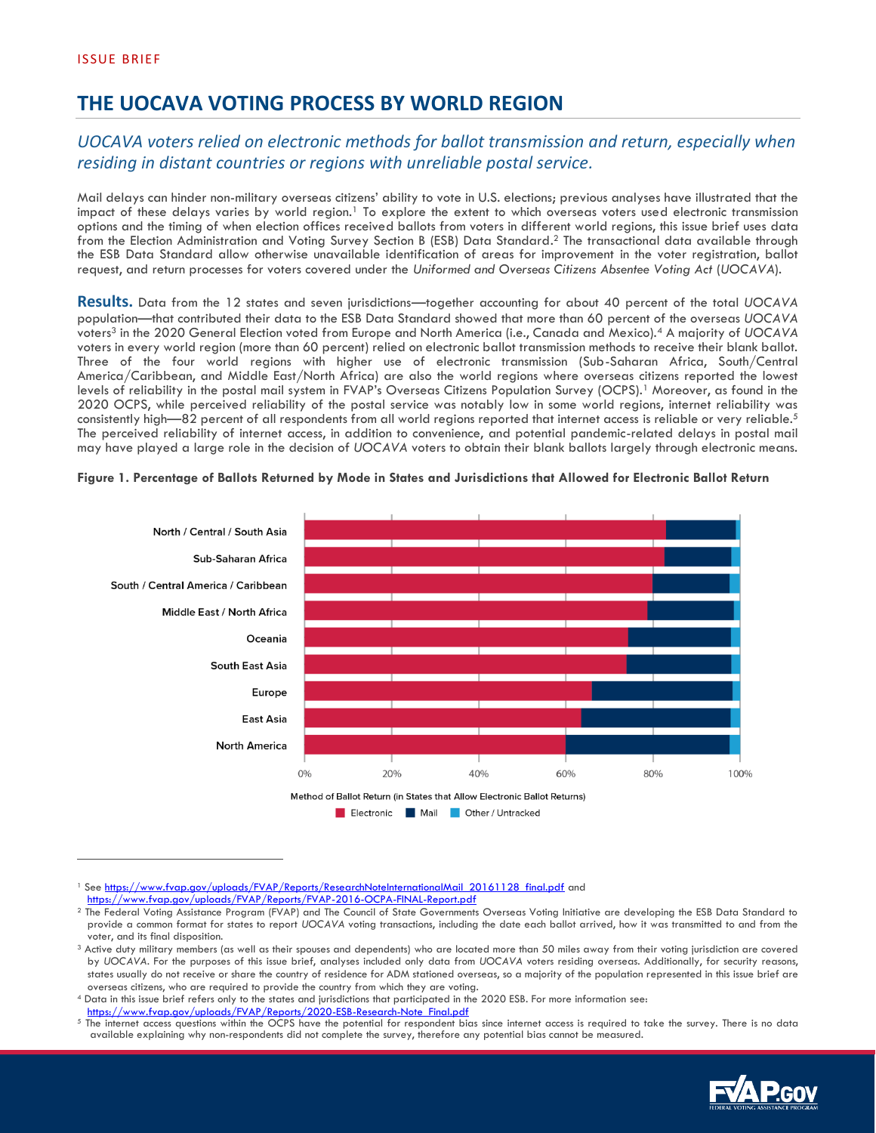## **THE UOCAVA VOTING PROCESS BY WORLD REGION**

## *UOCAVA voters relied on electronic methods for ballot transmission and return, especially when residing in distant countries or regions with unreliable postal service.*

Mail delays can hinder non-military overseas citizens' ability to vote in U.S. elections; previous analyses have illustrated that the impact of these delays varies by world region.<sup>1</sup> To explore the extent to which overseas voters used electronic transmission options and the timing of when election offices received ballots from voters in different world regions, this issue brief uses data from the Election Administration and Voting Survey Section B (ESB) Data Standard. <sup>2</sup> The transactional data available through the ESB Data Standard allow otherwise unavailable identification of areas for improvement in the voter registration, ballot request, and return processes for voters covered under the *Uniformed and Overseas Citizens Absentee Voting Act* (*UOCAVA*).

**Results.** Data from the 12 states and seven jurisdictions—together accounting for about 40 percent of the total *UOCAVA* population—that contributed their data to the ESB Data Standard showed that more than 60 percent of the overseas *UOCAVA* voters<sup>3</sup> in the 2020 General Election voted from Europe and North America (i.e., Canada and Mexico).<sup>4</sup> A majority of *UOCAVA* voters in every world region (more than 60 percent) relied on electronic ballot transmission methods to receive their blank ballot. Three of the four world regions with higher use of electronic transmission (Sub-Saharan Africa, South/Central America/Caribbean, and Middle East/North Africa) are also the world regions where overseas citizens reported the lowest levels of reliability in the postal mail system in FVAP's Overseas Citizens Population Survey (OCPS).<sup>1</sup> Moreover, as found in the 2020 OCPS, while perceived reliability of the postal service was notably low in some world regions, internet reliability was consistently high—82 percent of all respondents from all world regions reported that internet access is reliable or very reliable.<sup>5</sup> The perceived reliability of internet access, in addition to convenience, and potential pandemic-related delays in postal mail may have played a large role in the decision of *UOCAVA* voters to obtain their blank ballots largely through electronic means.



## **Figure 1. Percentage of Ballots Returned by Mode in States and Jurisdictions that Allowed for Electronic Ballot Return**

The internet access questions within the OCPS have the potential for respondent bias since internet access is required to take the survey. There is no data available explaining why non-respondents did not complete the survey, therefore any potential bias cannot be measured.



<sup>&</sup>lt;sup>1</sup> Se[e https://www.fvap.gov/uploads/FVAP/Reports/ResearchNoteInternationalMail\\_20161128\\_final.pdf](https://www.fvap.gov/uploads/FVAP/Reports/ResearchNoteInternationalMail_20161128_final.pdf) and <https://www.fvap.gov/uploads/FVAP/Reports/FVAP-2016-OCPA-FINAL-Report.pdf>

<sup>&</sup>lt;sup>2</sup> The Federal Voting Assistance Program (FVAP) and The Council of State Governments Overseas Voting Initiative are developing the ESB Data Standard to provide a common format for states to report *UOCAVA* voting transactions, including the date each ballot arrived, how it was transmitted to and from the voter, and its final disposition.

<sup>&</sup>lt;sup>3</sup> Active duty military members (as well as their spouses and dependents) who are located more than 50 miles away from their voting jurisdiction are covered by *UOCAVA.* For the purposes of this issue brief, analyses included only data from *UOCAVA* voters residing overseas. Additionally, for security reasons, states usually do not receive or share the country of residence for ADM stationed overseas, so a majority of the population represented in this issue brief are overseas citizens, who are required to provide the country from which they are voting.

<sup>4</sup> Data in this issue brief refers only to the states and jurisdictions that participated in the 2020 ESB. For more information see: [https://www.fvap.gov/uploads/FVAP/Reports/2020-ESB-Research-Note\\_Final.pdf](https://www.fvap.gov/uploads/FVAP/Reports/2020-ESB-Research-Note_Final.pdf)